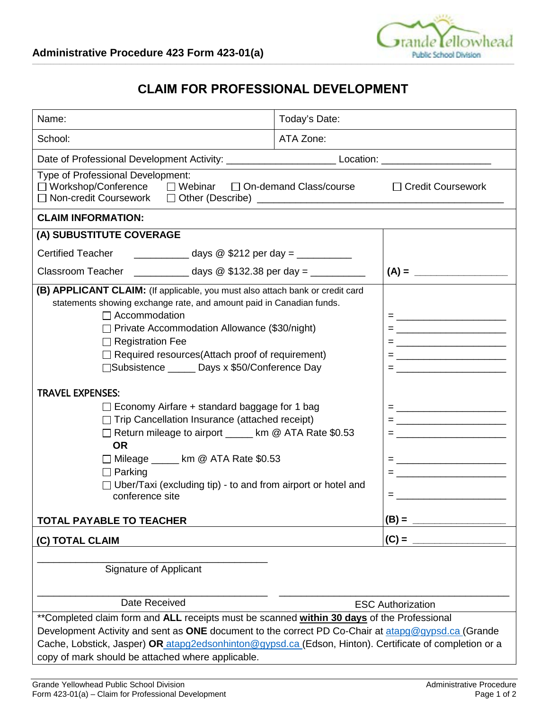

## **CLAIM FOR PROFESSIONAL DEVELOPMENT**

| Name:                                                                                                                                                                                                                                                                                                                                                                                                                                                                                                                                                                                                                                                                                                                                                                                 | Today's Date:                                                                                                                                                                                                                                                                                                                                                                                                                             |
|---------------------------------------------------------------------------------------------------------------------------------------------------------------------------------------------------------------------------------------------------------------------------------------------------------------------------------------------------------------------------------------------------------------------------------------------------------------------------------------------------------------------------------------------------------------------------------------------------------------------------------------------------------------------------------------------------------------------------------------------------------------------------------------|-------------------------------------------------------------------------------------------------------------------------------------------------------------------------------------------------------------------------------------------------------------------------------------------------------------------------------------------------------------------------------------------------------------------------------------------|
| School:                                                                                                                                                                                                                                                                                                                                                                                                                                                                                                                                                                                                                                                                                                                                                                               | ATA Zone:                                                                                                                                                                                                                                                                                                                                                                                                                                 |
| Date of Professional Development Activity: ___________________________Location: ____________________                                                                                                                                                                                                                                                                                                                                                                                                                                                                                                                                                                                                                                                                                  |                                                                                                                                                                                                                                                                                                                                                                                                                                           |
| Type of Professional Development:<br>□ Workshop/Conference □ Webinar □ On-demand Class/course<br>$\Box$ Credit Coursework                                                                                                                                                                                                                                                                                                                                                                                                                                                                                                                                                                                                                                                             |                                                                                                                                                                                                                                                                                                                                                                                                                                           |
| <b>CLAIM INFORMATION:</b>                                                                                                                                                                                                                                                                                                                                                                                                                                                                                                                                                                                                                                                                                                                                                             |                                                                                                                                                                                                                                                                                                                                                                                                                                           |
| (A) SUBUSTITUTE COVERAGE                                                                                                                                                                                                                                                                                                                                                                                                                                                                                                                                                                                                                                                                                                                                                              |                                                                                                                                                                                                                                                                                                                                                                                                                                           |
| <b>Certified Teacher</b><br>______________ days @ \$212 per day = ___________                                                                                                                                                                                                                                                                                                                                                                                                                                                                                                                                                                                                                                                                                                         |                                                                                                                                                                                                                                                                                                                                                                                                                                           |
| Classroom Teacher ___________ days @ \$132.38 per day = __________                                                                                                                                                                                                                                                                                                                                                                                                                                                                                                                                                                                                                                                                                                                    |                                                                                                                                                                                                                                                                                                                                                                                                                                           |
| (B) APPLICANT CLAIM: (If applicable, you must also attach bank or credit card<br>statements showing exchange rate, and amount paid in Canadian funds.<br>$\Box$ Accommodation<br>$\Box$ Private Accommodation Allowance (\$30/night)<br>$\Box$ Registration Fee<br>$\Box$ Required resources (Attach proof of requirement)<br>□Subsistence ______ Days x \$50/Conference Day<br><b>TRAVEL EXPENSES:</b><br>$\Box$ Economy Airfare + standard baggage for 1 bag<br>$\Box$ Trip Cancellation Insurance (attached receipt)<br>□ Return mileage to airport _____ km @ ATA Rate \$0.53<br><b>OR</b><br>□ Mileage _____ km @ ATA Rate \$0.53<br>$\Box$ Parking<br>$\Box$ Uber/Taxi (excluding tip) - to and from airport or hotel and<br>conference site<br><b>TOTAL PAYABLE TO TEACHER</b> | = <u>_________________________</u><br>= <u>_______________________</u> _<br>= <u>________________________</u><br>= <u>________________________</u><br>= <u>_______________________</u><br>$\blacksquare$ . The contract of the contract of the contract of the contract of the contract of the contract of the contract of the contract of the contract of the contract of the contract of the contract of the contract of the<br>$(B) =$ |
| (C) TOTAL CLAIM                                                                                                                                                                                                                                                                                                                                                                                                                                                                                                                                                                                                                                                                                                                                                                       | $(C) =$                                                                                                                                                                                                                                                                                                                                                                                                                                   |
| Signature of Applicant                                                                                                                                                                                                                                                                                                                                                                                                                                                                                                                                                                                                                                                                                                                                                                |                                                                                                                                                                                                                                                                                                                                                                                                                                           |
| Date Received<br><b>ESC Authorization</b><br>**Completed claim form and ALL receipts must be scanned within 30 days of the Professional                                                                                                                                                                                                                                                                                                                                                                                                                                                                                                                                                                                                                                               |                                                                                                                                                                                                                                                                                                                                                                                                                                           |
| Development Activity and sent as ONE document to the correct PD Co-Chair at atapg@gypsd.ca (Grande<br>Cache, Lobstick, Jasper) OR atapg2edsonhinton@gypsd.ca (Edson, Hinton). Certificate of completion or a<br>copy of mark should be attached where applicable.                                                                                                                                                                                                                                                                                                                                                                                                                                                                                                                     |                                                                                                                                                                                                                                                                                                                                                                                                                                           |